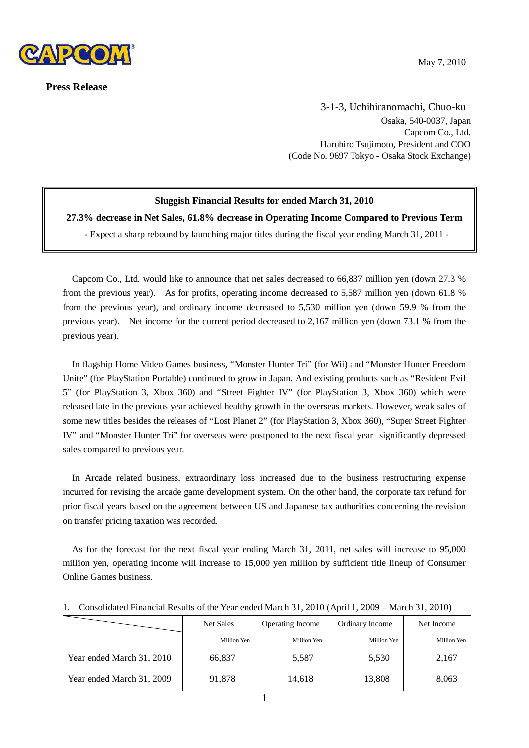

**Press Release**

May 7, 2010

3-1-3, Uchihiranomachi, Chuo-ku Osaka, 540-0037, Japan Capcom Co., Ltd. Haruhiro Tsujimoto, President and COO (Code No. 9697 Tokyo - Osaka Stock Exchange)

# **Sluggish Financial Results for ended March 31, 2010**

**27.3% decrease in Net Sales, 61.8% decrease in Operating Income Compared to Previous Term**

**-** Expect a sharp rebound by launching major titles during the fiscal year ending March 31, 2011 -

Capcom Co., Ltd. would like to announce that net sales decreased to 66,837 million yen (down 27.3 % from the previous year). As for profits, operating income decreased to 5,587 million yen (down 61.8 % from the previous year), and ordinary income decreased to 5,530 million yen (down 59.9 % from the previous year). Net income for the current period decreased to 2,167 million yen (down 73.1 % from the previous year).

In flagship Home Video Games business, "Monster Hunter Tri" (for Wii) and "Monster Hunter Freedom Unite" (for PlayStation Portable) continued to grow in Japan. And existing products such as "Resident Evil 5" (for PlayStation 3, Xbox 360) and "Street Fighter IV" (for PlayStation 3, Xbox 360) which were released late in the previous year achieved healthy growth in the overseas markets. However, weak sales of some new titles besides the releases of "Lost Planet 2" (for PlayStation 3, Xbox 360), "Super Street Fighter IV" and "Monster Hunter Tri" for overseas were postponed to the next fiscal year significantly depressed sales compared to previous year.

In Arcade related business, extraordinary loss increased due to the business restructuring expense incurred for revising the arcade game development system. On the other hand, the corporate tax refund for prior fiscal years based on the agreement between US and Japanese tax authorities concerning the revision on transfer pricing taxation was recorded.

As for the forecast for the next fiscal year ending March 31, 2011, net sales will increase to 95,000 million yen, operating income will increase to 15,000 yen million by sufficient title lineup of Consumer Online Games business.

|                           | Net Sales   | <b>Operating Income</b> | Ordinary Income | Net Income  |
|---------------------------|-------------|-------------------------|-----------------|-------------|
|                           | Million Yen | Million Yen             | Million Yen     | Million Yen |
| Year ended March 31, 2010 | 66,837      | 5,587                   | 5,530           | 2,167       |
| Year ended March 31, 2009 | 91,878      | 14,618                  | 13,808          | 8,063       |

#### 1. Consolidated Financial Results of the Year ended March 31, 2010 (April 1, 2009 – March 31, 2010)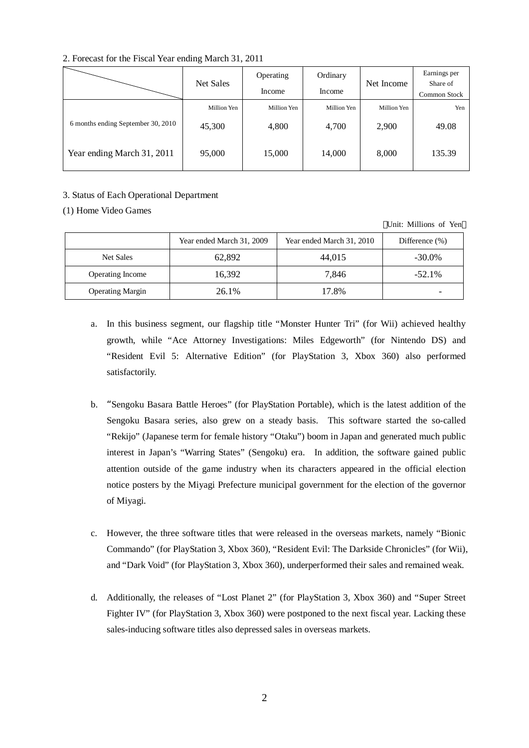|                                    | Net Sales   | Operating<br>Income | Ordinary<br>Income | Net Income  | Earnings per<br>Share of |
|------------------------------------|-------------|---------------------|--------------------|-------------|--------------------------|
|                                    |             |                     |                    |             | Common Stock             |
|                                    | Million Yen | Million Yen         | Million Yen        | Million Yen | Yen                      |
| 6 months ending September 30, 2010 | 45,300      | 4,800               | 4,700              | 2,900       | 49.08                    |
| Year ending March 31, 2011         | 95,000      | 15,000              | 14,000             | 8,000       | 135.39                   |

# 2. Forecast for the Fiscal Year ending March 31, 2011

## 3. Status of Each Operational Department

## (1) Home Video Games

|                         | Year ended March 31, 2009 | Year ended March 31, 2010 | Difference $(\% )$ |
|-------------------------|---------------------------|---------------------------|--------------------|
| Net Sales               | 62,892                    | 44,015                    | $-30.0\%$          |
| <b>Operating Income</b> | 16,392                    | 7.846                     | $-52.1%$           |
| <b>Operating Margin</b> | 26.1%                     | 17.8%                     |                    |

Unit: Millions of Yen

- a. In this business segment, our flagship title "Monster Hunter Tri" (for Wii) achieved healthy growth, while "Ace Attorney Investigations: Miles Edgeworth" (for Nintendo DS) and "Resident Evil 5: Alternative Edition" (for PlayStation 3, Xbox 360) also performed satisfactorily.
- b. "Sengoku Basara Battle Heroes" (for PlayStation Portable), which is the latest addition of the Sengoku Basara series, also grew on a steady basis. This software started the so-called "Rekijo" (Japanese term for female history "Otaku") boom in Japan and generated much public interest in Japan's "Warring States" (Sengoku) era. In addition, the software gained public attention outside of the game industry when its characters appeared in the official election notice posters by the Miyagi Prefecture municipal government for the election of the governor of Miyagi.
- c. However, the three software titles that were released in the overseas markets, namely "Bionic Commando" (for PlayStation 3, Xbox 360), "Resident Evil: The Darkside Chronicles" (for Wii), and "Dark Void" (for PlayStation 3, Xbox 360), underperformed their sales and remained weak.
- d. Additionally, the releases of "Lost Planet 2" (for PlayStation 3, Xbox 360) and "Super Street Fighter IV" (for PlayStation 3, Xbox 360) were postponed to the next fiscal year. Lacking these sales-inducing software titles also depressed sales in overseas markets.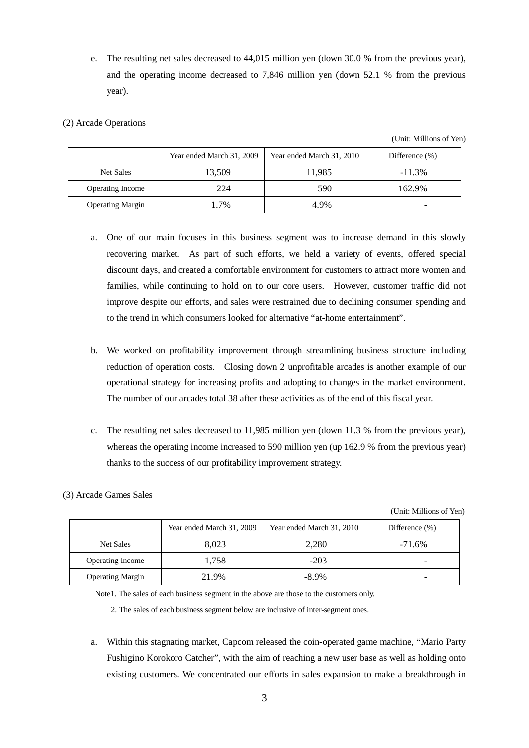e. The resulting net sales decreased to 44,015 million yen (down 30.0 % from the previous year), and the operating income decreased to 7,846 million yen (down 52.1 % from the previous year).

## (2) Arcade Operations

(3) Arcade Games Sales

(Unit: Millions of Yen)

|                         | Year ended March 31, 2009 | Year ended March 31, 2010 | Difference $(\% )$ |
|-------------------------|---------------------------|---------------------------|--------------------|
| Net Sales               | 13,509                    | 11,985                    | $-11.3%$           |
| <b>Operating Income</b> | 224                       | 590                       | 162.9%             |
| <b>Operating Margin</b> | 1.7%                      | 4.9%                      |                    |

- a. One of our main focuses in this business segment was to increase demand in this slowly recovering market. As part of such efforts, we held a variety of events, offered special discount days, and created a comfortable environment for customers to attract more women and families, while continuing to hold on to our core users. However, customer traffic did not improve despite our efforts, and sales were restrained due to declining consumer spending and to the trend in which consumers looked for alternative "at-home entertainment".
- b. We worked on profitability improvement through streamlining business structure including reduction of operation costs. Closing down 2 unprofitable arcades is another example of our operational strategy for increasing profits and adopting to changes in the market environment. The number of our arcades total 38 after these activities as of the end of this fiscal year.
- c. The resulting net sales decreased to 11,985 million yen (down 11.3 % from the previous year), whereas the operating income increased to 590 million yen (up 162.9 % from the previous year) thanks to the success of our profitability improvement strategy.

# (Unit: Millions of Yen)

|                         | Year ended March 31, 2009 | Year ended March 31, 2010 | Difference $(\% )$ |
|-------------------------|---------------------------|---------------------------|--------------------|
| Net Sales               | 8.023                     | 2,280                     | $-71.6\%$          |
| <b>Operating Income</b> | 1.758                     | $-203$                    |                    |
| <b>Operating Margin</b> | 21.9%                     | $-8.9\%$                  |                    |

Note1. The sales of each business segment in the above are those to the customers only.

2. The sales of each business segment below are inclusive of inter-segment ones.

a. Within this stagnating market, Capcom released the coin-operated game machine, "Mario Party Fushigino Korokoro Catcher", with the aim of reaching a new user base as well as holding onto existing customers. We concentrated our efforts in sales expansion to make a breakthrough in